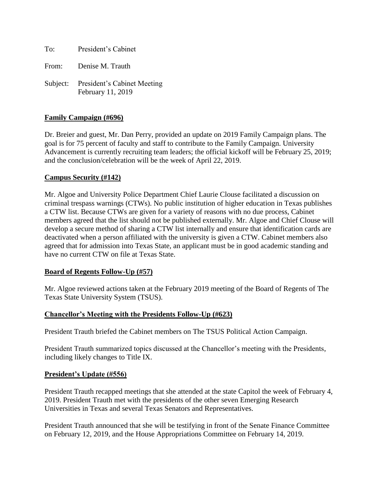To: President's Cabinet From: Denise M. Trauth

Subject: President's Cabinet Meeting February 11, 2019

# **Family Campaign (#696)**

Dr. Breier and guest, Mr. Dan Perry, provided an update on 2019 Family Campaign plans. The goal is for 75 percent of faculty and staff to contribute to the Family Campaign. University Advancement is currently recruiting team leaders; the official kickoff will be February 25, 2019; and the conclusion/celebration will be the week of April 22, 2019.

## **Campus Security (#142)**

Mr. Algoe and University Police Department Chief Laurie Clouse facilitated a discussion on criminal trespass warnings (CTWs). No public institution of higher education in Texas publishes a CTW list. Because CTWs are given for a variety of reasons with no due process, Cabinet members agreed that the list should not be published externally. Mr. Algoe and Chief Clouse will develop a secure method of sharing a CTW list internally and ensure that identification cards are deactivated when a person affiliated with the university is given a CTW. Cabinet members also agreed that for admission into Texas State, an applicant must be in good academic standing and have no current CTW on file at Texas State.

### **Board of Regents Follow-Up (#57)**

Mr. Algoe reviewed actions taken at the February 2019 meeting of the Board of Regents of The Texas State University System (TSUS).

## **Chancellor's Meeting with the Presidents Follow-Up (#623)**

President Trauth briefed the Cabinet members on The TSUS Political Action Campaign.

President Trauth summarized topics discussed at the Chancellor's meeting with the Presidents, including likely changes to Title IX.

### **President's Update (#556)**

President Trauth recapped meetings that she attended at the state Capitol the week of February 4, 2019. President Trauth met with the presidents of the other seven Emerging Research Universities in Texas and several Texas Senators and Representatives.

President Trauth announced that she will be testifying in front of the Senate Finance Committee on February 12, 2019, and the House Appropriations Committee on February 14, 2019.